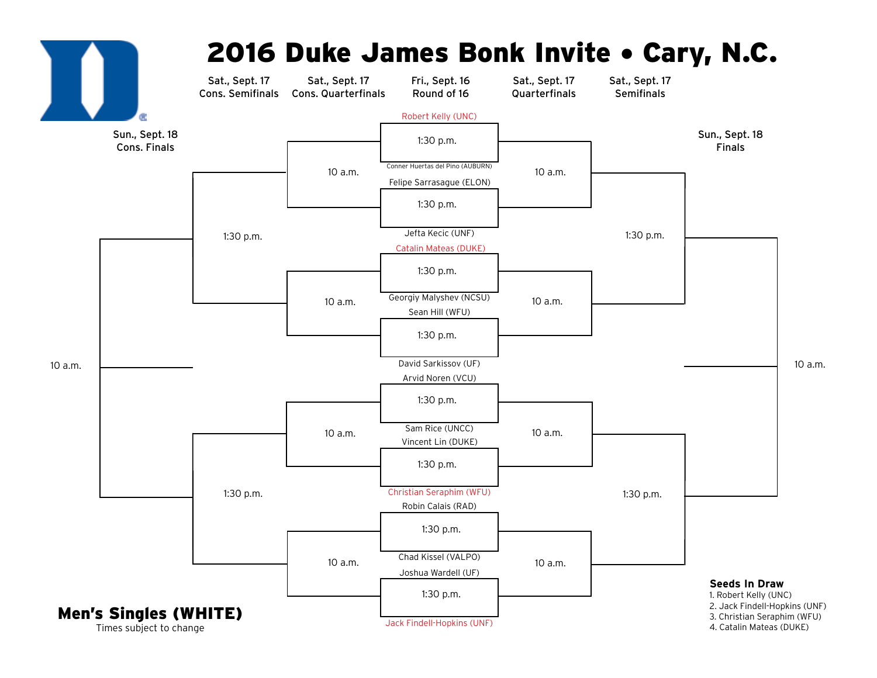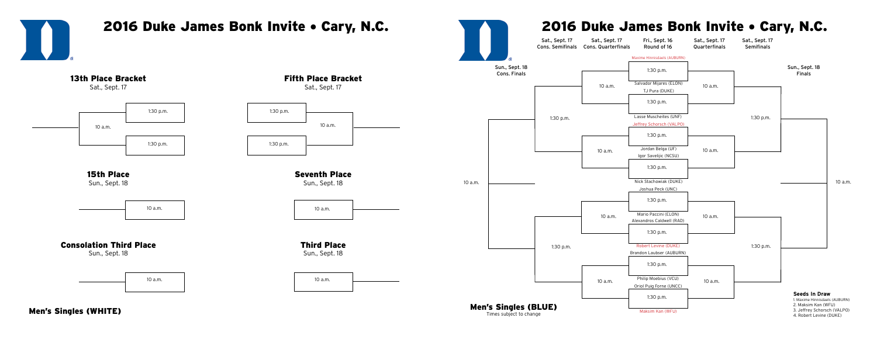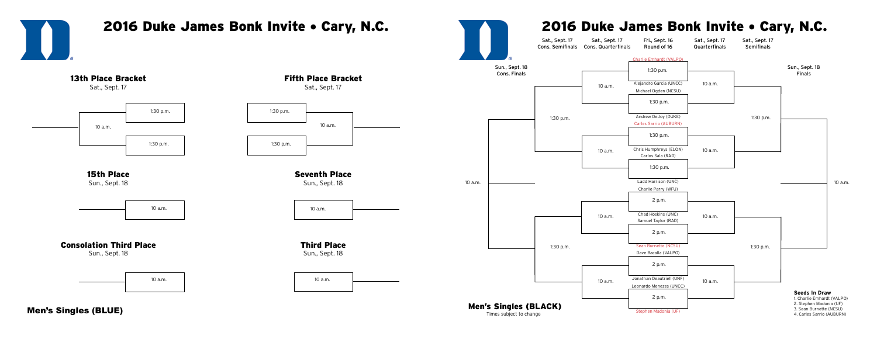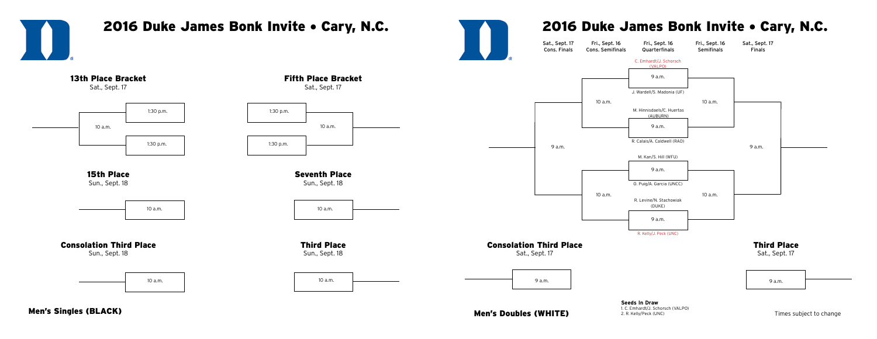Men's Doubles (WHITE)

Times subject to change



1. C. Emhardt/J. Schorsch (VALPO) 2. R. Kelly/Peck (UNC)



Men's Singles (BLACK)